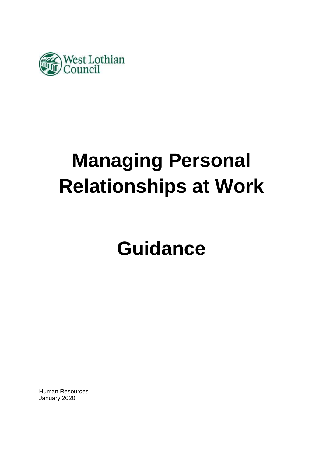

# **Managing Personal Relationships at Work**

# **Guidance**

Human Resources January 2020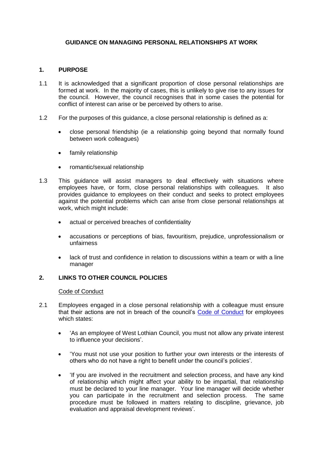# **GUIDANCE ON MANAGING PERSONAL RELATIONSHIPS AT WORK**

# **1. PURPOSE**

- 1.1 It is acknowledged that a significant proportion of close personal relationships are formed at work. In the majority of cases, this is unlikely to give rise to any issues for the council. However, the council recognises that in some cases the potential for conflict of interest can arise or be perceived by others to arise.
- 1.2 For the purposes of this guidance, a close personal relationship is defined as a:
	- close personal friendship (ie a relationship going beyond that normally found between work colleagues)
	- family relationship
	- romantic/sexual relationship
- 1.3 This guidance will assist managers to deal effectively with situations where employees have, or form, close personal relationships with colleagues. It also provides guidance to employees on their conduct and seeks to protect employees against the potential problems which can arise from close personal relationships at work, which might include:
	- actual or perceived breaches of confidentiality
	- accusations or perceptions of bias, favouritism, prejudice, unprofessionalism or unfairness
	- lack of trust and confidence in relation to discussions within a team or with a line manager

#### **2. LINKS TO OTHER COUNCIL POLICIES**

#### Code of Conduct

- 2.1 Employees engaged in a close personal relationship with a colleague must ensure that their actions are not in breach of the council's [Code of Conduct](https://www.westlothian.gov.uk/article/33213/Code-of-Conduct) for employees which states:
	- 'As an employee of West Lothian Council, you must not allow any private interest to influence your decisions'.
	- 'You must not use your position to further your own interests or the interests of others who do not have a right to benefit under the council's policies'.
	- 'If you are involved in the recruitment and selection process, and have any kind of relationship which might affect your ability to be impartial, that relationship must be declared to your line manager. Your line manager will decide whether you can participate in the recruitment and selection process. The same procedure must be followed in matters relating to discipline, grievance, job evaluation and appraisal development reviews'.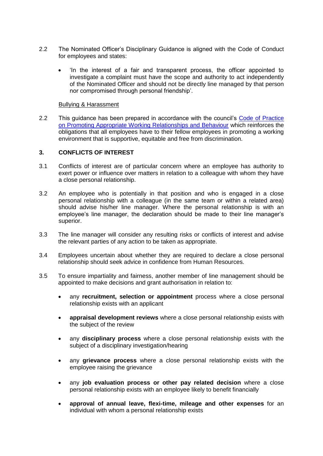- 2.2 The Nominated Officer's Disciplinary Guidance is aligned with the Code of Conduct for employees and states:
	- 'In the interest of a fair and transparent process, the officer appointed to investigate a complaint must have the scope and authority to act independently of the Nominated Officer and should not be directly line managed by that person nor compromised through personal friendship'.

#### Bullying & Harassment

2.2 This guidance has been prepared in accordance with the council's Code of Practice [on Promoting Appropriate Working Relationships and Behaviour](https://www.westlothian.gov.uk/article/33212/Bullying-and-Harassment) which reinforces the obligations that all employees have to their fellow employees in promoting a working environment that is supportive, equitable and free from discrimination.

# **3. CONFLICTS OF INTEREST**

- 3.1 Conflicts of interest are of particular concern where an employee has authority to exert power or influence over matters in relation to a colleague with whom they have a close personal relationship.
- 3.2 An employee who is potentially in that position and who is engaged in a close personal relationship with a colleague (in the same team or within a related area) should advise his/her line manager. Where the personal relationship is with an employee's line manager, the declaration should be made to their line manager's superior.
- 3.3 The line manager will consider any resulting risks or conflicts of interest and advise the relevant parties of any action to be taken as appropriate.
- 3.4 Employees uncertain about whether they are required to declare a close personal relationship should seek advice in confidence from Human Resources.
- 3.5 To ensure impartiality and fairness, another member of line management should be appointed to make decisions and grant authorisation in relation to:
	- any **recruitment, selection or appointment** process where a close personal relationship exists with an applicant
	- **appraisal development reviews** where a close personal relationship exists with the subject of the review
	- any **disciplinary process** where a close personal relationship exists with the subject of a disciplinary investigation/hearing
	- any **grievance process** where a close personal relationship exists with the employee raising the grievance
	- any **job evaluation process or other pay related decision** where a close personal relationship exists with an employee likely to benefit financially
	- **approval of annual leave, flexi-time, mileage and other expenses** for an individual with whom a personal relationship exists